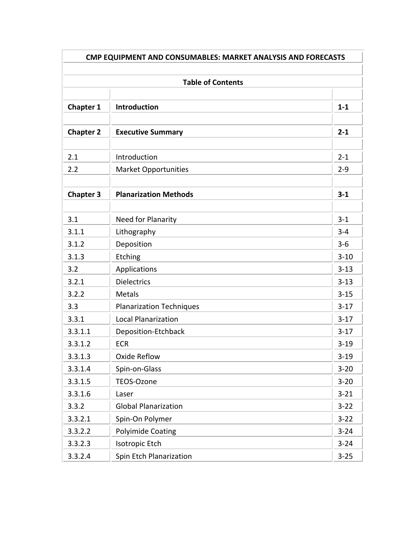| CMP EQUIPMENT AND CONSUMABLES: MARKET ANALYSIS AND FORECASTS |                                 |          |  |  |
|--------------------------------------------------------------|---------------------------------|----------|--|--|
| <b>Table of Contents</b>                                     |                                 |          |  |  |
| <b>Chapter 1</b>                                             | Introduction                    | $1 - 1$  |  |  |
| <b>Chapter 2</b>                                             | <b>Executive Summary</b>        | $2 - 1$  |  |  |
| 2.1                                                          | Introduction                    | $2 - 1$  |  |  |
| 2.2                                                          | <b>Market Opportunities</b>     | $2 - 9$  |  |  |
| <b>Chapter 3</b>                                             | <b>Planarization Methods</b>    | $3 - 1$  |  |  |
| 3.1                                                          | Need for Planarity              | $3 - 1$  |  |  |
| 3.1.1                                                        | Lithography                     | $3 - 4$  |  |  |
| 3.1.2                                                        | Deposition                      | $3 - 6$  |  |  |
| 3.1.3                                                        | Etching                         | $3 - 10$ |  |  |
| 3.2                                                          | Applications                    | $3 - 13$ |  |  |
| 3.2.1                                                        | <b>Dielectrics</b>              | $3 - 13$ |  |  |
| 3.2.2                                                        | <b>Metals</b>                   | $3 - 15$ |  |  |
| 3.3                                                          | <b>Planarization Techniques</b> | $3-17$   |  |  |
| 3.3.1                                                        | <b>Local Planarization</b>      | $3-17$   |  |  |
| 3.3.1.1                                                      | Deposition-Etchback             | $3-17$   |  |  |
| 3.3.1.2                                                      | <b>ECR</b>                      | $3 - 19$ |  |  |
| 3.3.1.3                                                      | Oxide Reflow                    | $3 - 19$ |  |  |
| 3.3.1.4                                                      | Spin-on-Glass                   | $3 - 20$ |  |  |
| 3.3.1.5                                                      | TEOS-Ozone                      | $3 - 20$ |  |  |
| 3.3.1.6                                                      | Laser                           | $3 - 21$ |  |  |
| 3.3.2                                                        | <b>Global Planarization</b>     | $3 - 22$ |  |  |
| 3.3.2.1                                                      | Spin-On Polymer                 | $3 - 22$ |  |  |
| 3.3.2.2                                                      | <b>Polyimide Coating</b>        | $3 - 24$ |  |  |
| 3.3.2.3                                                      | Isotropic Etch                  | $3 - 24$ |  |  |
| 3.3.2.4                                                      | Spin Etch Planarization         | $3 - 25$ |  |  |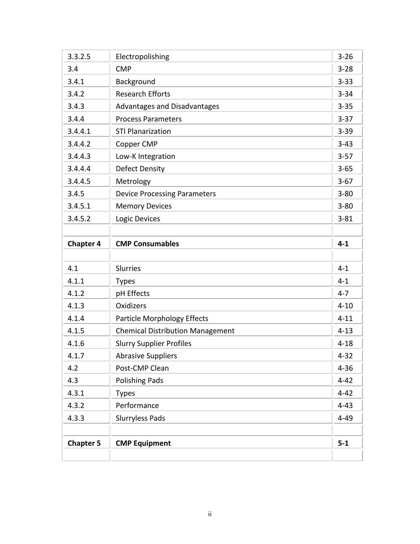| 3.3.2.5          | Electropolishing                        | $3 - 26$ |
|------------------|-----------------------------------------|----------|
| 3.4              | <b>CMP</b>                              | $3 - 28$ |
| 3.4.1            | Background                              | $3 - 33$ |
| 3.4.2            | <b>Research Efforts</b>                 | $3 - 34$ |
| 3.4.3            | Advantages and Disadvantages            | $3 - 35$ |
| 3.4.4            | <b>Process Parameters</b>               | $3 - 37$ |
| 3.4.4.1          | <b>STI Planarization</b>                | $3 - 39$ |
| 3.4.4.2          | Copper CMP                              | $3 - 43$ |
| 3.4.4.3          | Low-K Integration                       | $3 - 57$ |
| 3.4.4.4          | <b>Defect Density</b>                   | $3 - 65$ |
| 3.4.4.5          | Metrology                               | $3-67$   |
| 3.4.5            | <b>Device Processing Parameters</b>     | $3 - 80$ |
| 3.4.5.1          | <b>Memory Devices</b>                   | $3 - 80$ |
| 3.4.5.2          | Logic Devices                           | $3 - 81$ |
|                  |                                         |          |
| <b>Chapter 4</b> | <b>CMP Consumables</b>                  | $4 - 1$  |
|                  |                                         |          |
|                  |                                         |          |
| 4.1              | <b>Slurries</b>                         | $4 - 1$  |
| 4.1.1            | <b>Types</b>                            | $4 - 1$  |
| 4.1.2            | pH Effects                              | $4 - 7$  |
| 4.1.3            | <b>Oxidizers</b>                        | $4 - 10$ |
| 4.1.4            | <b>Particle Morphology Effects</b>      | $4 - 11$ |
| 4.1.5            | <b>Chemical Distribution Management</b> | $4 - 13$ |
| 4.1.6            | <b>Slurry Supplier Profiles</b>         | $4 - 18$ |
| 4.1.7            | <b>Abrasive Suppliers</b>               | $4 - 32$ |
| 4.2              | Post-CMP Clean                          | $4 - 36$ |
| 4.3              | <b>Polishing Pads</b>                   | $4 - 42$ |
| 4.3.1            | <b>Types</b>                            | $4 - 42$ |
| 4.3.2            | Performance                             | $4 - 43$ |
| 4.3.3            | <b>Slurryless Pads</b>                  | $4 - 49$ |
|                  |                                         |          |
| <b>Chapter 5</b> | <b>CMP Equipment</b>                    | $5 - 1$  |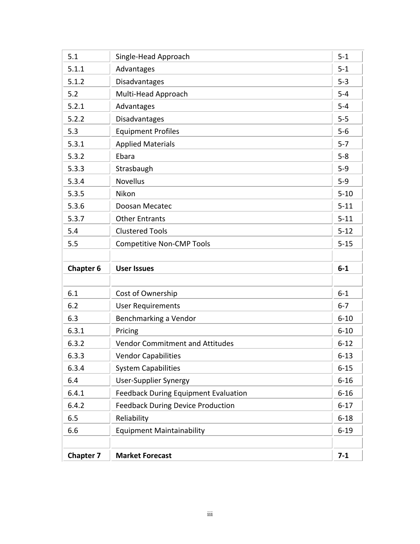| 5.1              | Single-Head Approach                        | $5 - 1$  |
|------------------|---------------------------------------------|----------|
| 5.1.1            | Advantages                                  | $5 - 1$  |
| 5.1.2            | Disadvantages                               | $5 - 3$  |
| 5.2              | Multi-Head Approach                         | $5 - 4$  |
| 5.2.1            | Advantages                                  | $5-4$    |
| 5.2.2            | Disadvantages                               | $5-5$    |
| 5.3              | <b>Equipment Profiles</b>                   | $5-6$    |
| 5.3.1            | <b>Applied Materials</b>                    | $5 - 7$  |
| 5.3.2            | Ebara                                       | $5-8$    |
| 5.3.3            | Strasbaugh                                  | $5-9$    |
| 5.3.4            | <b>Novellus</b>                             | $5-9$    |
| 5.3.5            | Nikon                                       | $5 - 10$ |
| 5.3.6            | Doosan Mecatec                              | $5 - 11$ |
| 5.3.7            | <b>Other Entrants</b>                       | $5 - 11$ |
| 5.4              | <b>Clustered Tools</b>                      | $5 - 12$ |
| 5.5              | <b>Competitive Non-CMP Tools</b>            | $5 - 15$ |
|                  |                                             |          |
| <b>Chapter 6</b> | <b>User Issues</b>                          | $6-1$    |
|                  |                                             |          |
| 6.1              | Cost of Ownership                           | $6-1$    |
| 6.2              | <b>User Requirements</b>                    | $6 - 7$  |
| 6.3              | Benchmarking a Vendor                       | $6 - 10$ |
| 6.3.1            | Pricing                                     | $6 - 10$ |
|                  |                                             |          |
| 6.3.2            | <b>Vendor Commitment and Attitudes</b>      | $6 - 12$ |
| 6.3.3            | <b>Vendor Capabilities</b>                  | $6 - 13$ |
| 6.3.4            | <b>System Capabilities</b>                  | $6 - 15$ |
| 6.4              | <b>User-Supplier Synergy</b>                | $6 - 16$ |
| 6.4.1            | <b>Feedback During Equipment Evaluation</b> | $6 - 16$ |
| 6.4.2            | <b>Feedback During Device Production</b>    | $6 - 17$ |
| 6.5              | Reliability                                 | $6 - 18$ |
| 6.6              | <b>Equipment Maintainability</b>            | $6 - 19$ |
|                  |                                             |          |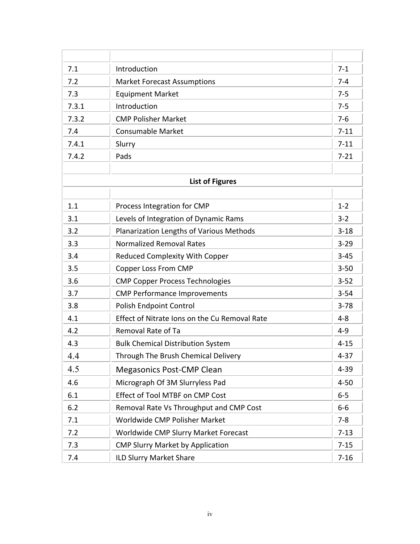| 7.1                    | Introduction                                  |          |
|------------------------|-----------------------------------------------|----------|
| 7.2                    | <b>Market Forecast Assumptions</b>            | $7 - 4$  |
| 7.3                    | <b>Equipment Market</b>                       | $7 - 5$  |
| 7.3.1                  | Introduction                                  | $7 - 5$  |
| 7.3.2                  | <b>CMP Polisher Market</b>                    | $7 - 6$  |
| 7.4                    | <b>Consumable Market</b>                      | $7 - 11$ |
| 7.4.1                  | Slurry                                        | $7 - 11$ |
| 7.4.2                  | Pads                                          | $7 - 21$ |
|                        |                                               |          |
| <b>List of Figures</b> |                                               |          |
|                        |                                               |          |
| 1.1                    | Process Integration for CMP                   | $1 - 2$  |
| 3.1                    | Levels of Integration of Dynamic Rams         | $3 - 2$  |
| 3.2                    | Planarization Lengths of Various Methods      | $3 - 18$ |
| 3.3                    | <b>Normalized Removal Rates</b>               | $3 - 29$ |
| 3.4                    | <b>Reduced Complexity With Copper</b>         | $3 - 45$ |
| 3.5                    | <b>Copper Loss From CMP</b>                   | $3 - 50$ |
| 3.6                    | <b>CMP Copper Process Technologies</b>        | $3 - 52$ |
| 3.7                    | <b>CMP Performance Improvements</b>           | $3 - 54$ |
| 3.8                    | Polish Endpoint Control                       | $3 - 78$ |
| 4.1                    | Effect of Nitrate Ions on the Cu Removal Rate | $4 - 8$  |
| 4.2                    | Removal Rate of Ta                            | $4 - 9$  |
| 4.3                    | <b>Bulk Chemical Distribution System</b>      | $4 - 15$ |
| 4.4                    | Through The Brush Chemical Delivery           | $4 - 37$ |
| 4.5                    | <b>Megasonics Post-CMP Clean</b>              | $4 - 39$ |
| 4.6                    | Micrograph Of 3M Slurryless Pad               | $4 - 50$ |
| 6.1                    | Effect of Tool MTBF on CMP Cost               | $6-5$    |
| 6.2                    | Removal Rate Vs Throughput and CMP Cost       | $6-6$    |
| 7.1                    | Worldwide CMP Polisher Market                 | $7 - 8$  |
| 7.2                    | Worldwide CMP Slurry Market Forecast          | $7 - 13$ |
| 7.3                    | <b>CMP Slurry Market by Application</b>       | $7 - 15$ |
| 7.4                    | ILD Slurry Market Share                       | $7 - 16$ |